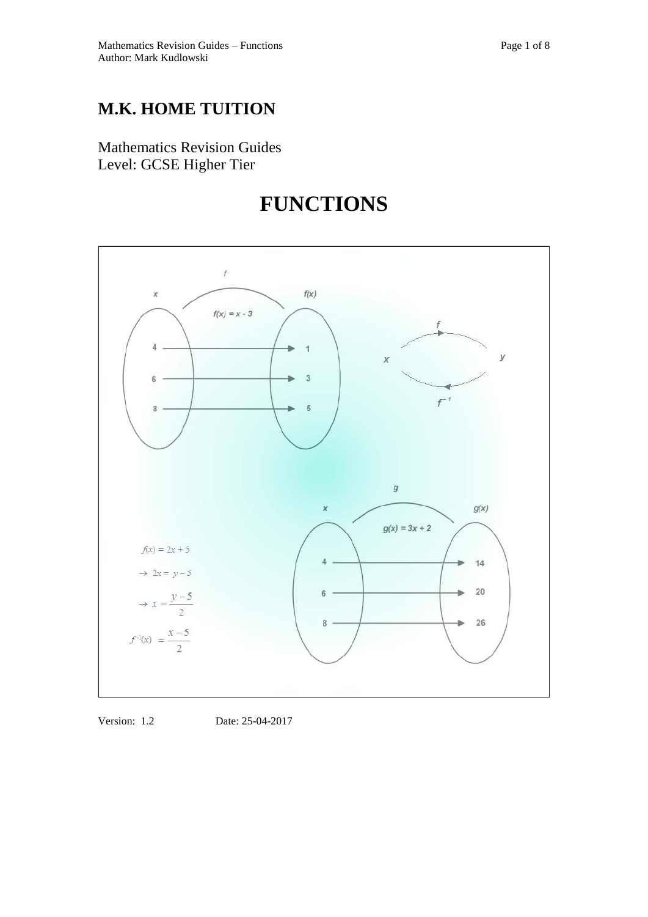## **M.K. HOME TUITION**

Mathematics Revision Guides Level: GCSE Higher Tier

# **FUNCTIONS**



Version: 1.2 Date: 25-04-2017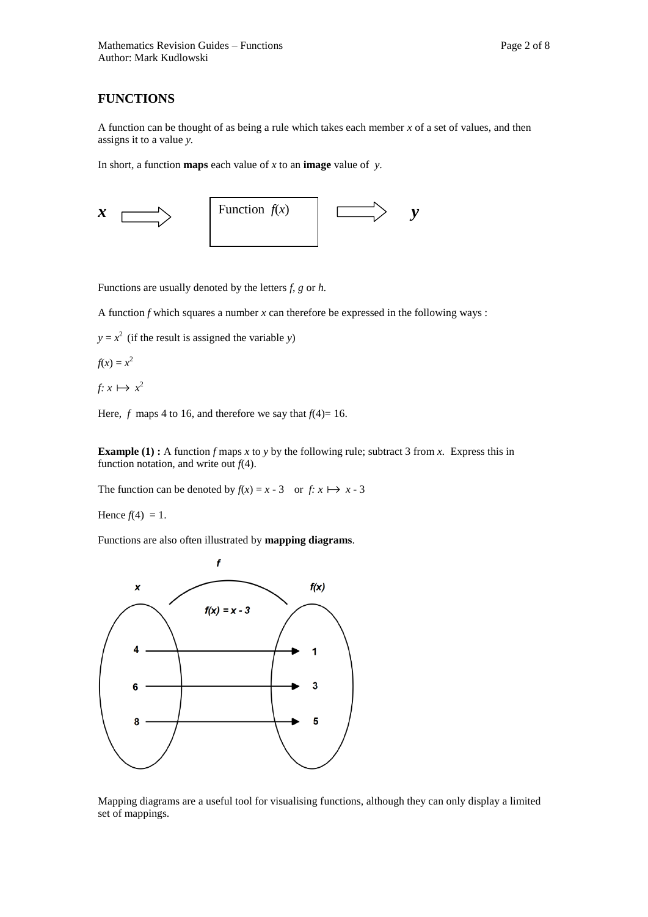A function can be thought of as being a rule which takes each member *x* of a set of values, and then assigns it to a value *y.* 

In short, a function **maps** each value of *x* to an **image** value of *y*.



Functions are usually denoted by the letters *f*, *g* or *h.* 

A function *f* which squares a number *x* can therefore be expressed in the following ways :

 $y = x^2$  (if the result is assigned the variable *y*)

$$
f(x)=x^2
$$

 $f: x \mapsto x^2$ 

Here,  $f$  maps 4 to 16, and therefore we say that  $f(4)=16$ .

**Example (1) :** A function *f* maps *x* to *y* by the following rule; subtract 3 from *x*. Express this in function notation, and write out  $f(4)$ .

The function can be denoted by  $f(x) = x - 3$  or  $f: x \mapsto x - 3$ 

Hence  $f(4) = 1$ .

Functions are also often illustrated by **mapping diagrams**.



Mapping diagrams are a useful tool for visualising functions, although they can only display a limited set of mappings.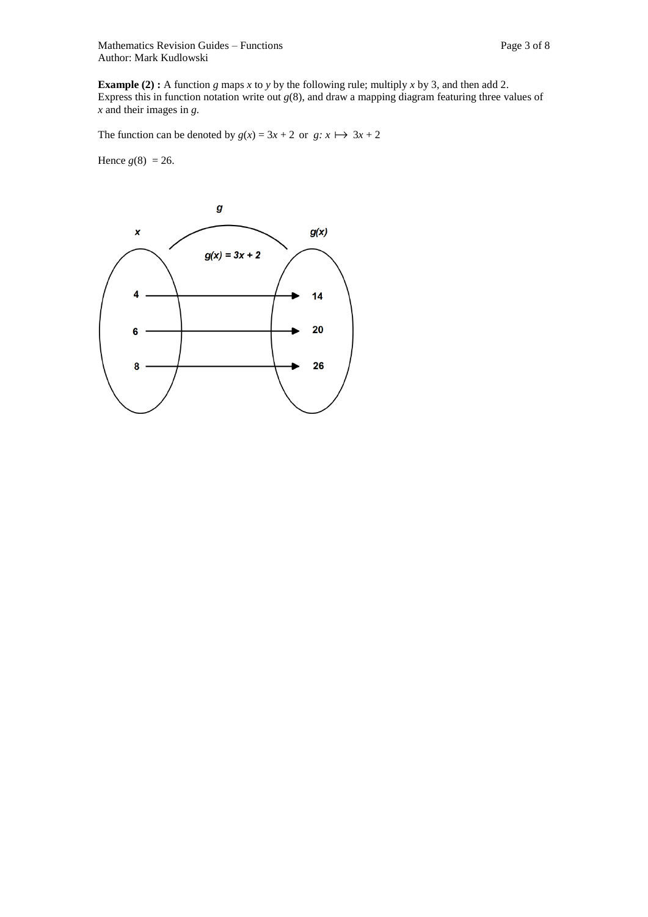Mathematics Revision Guides – Functions Page 3 of 8 Author: Mark Kudlowski

**Example (2) :** A function *g* maps *x* to *y* by the following rule; multiply *x* by 3, and then add 2. Express this in function notation write out  $g(8)$ , and draw a mapping diagram featuring three values of *x* and their images in *g.*

The function can be denoted by  $g(x) = 3x + 2$  or  $g: x \mapsto 3x + 2$ 

Hence  $g(8) = 26$ .

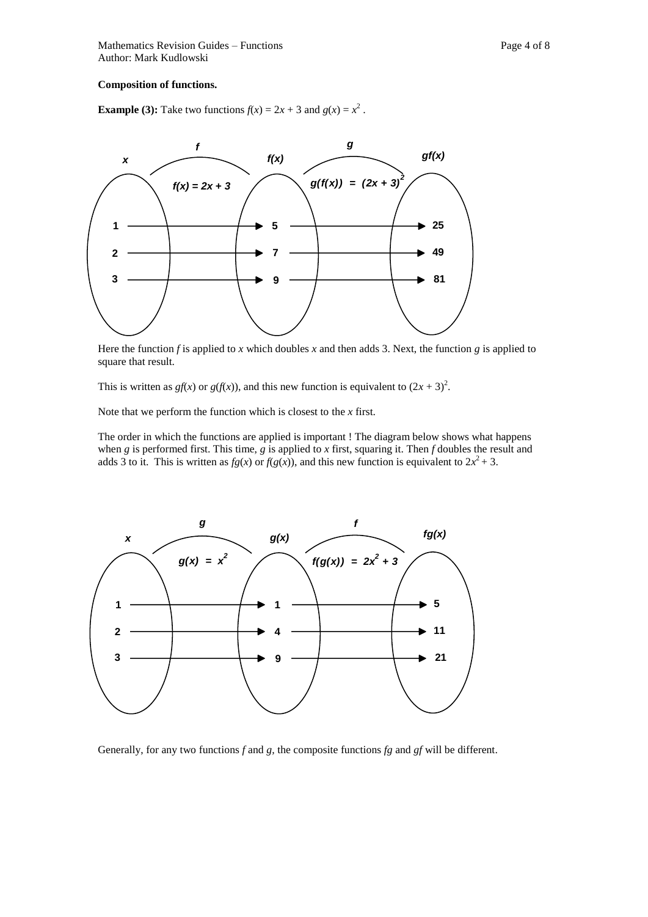#### **Composition of functions.**

**Example (3):** Take two functions  $f(x) = 2x + 3$  and  $g(x) = x^2$ .



Here the function  $f$  is applied to  $x$  which doubles  $x$  and then adds 3. Next, the function  $g$  is applied to square that result.

This is written as  $gf(x)$  or  $g(f(x))$ , and this new function is equivalent to  $(2x + 3)^2$ .

Note that we perform the function which is closest to the *x* first.

The order in which the functions are applied is important ! The diagram below shows what happens when *g* is performed first. This time, *g* is applied to *x* first, squaring it. Then *f* doubles the result and adds 3 to it. This is written as  $fg(x)$  or  $f(g(x))$ , and this new function is equivalent to  $2x^2 + 3$ .



Generally, for any two functions *f* and *g,* the composite functions *fg* and *gf* will be different.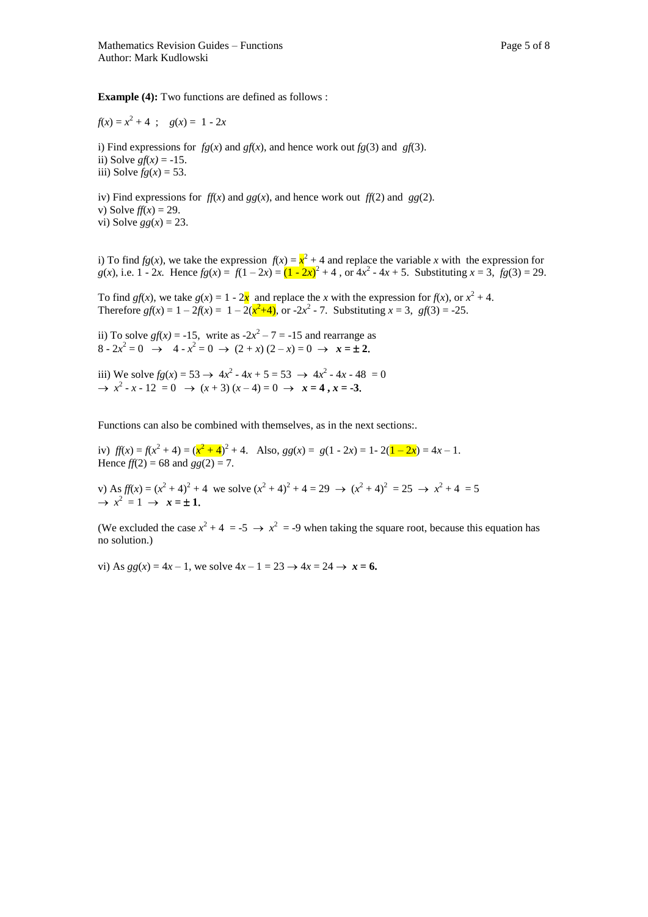**Example (4):** Two functions are defined as follows :

 $f(x) = x^2 + 4$ ;  $g(x) = 1 - 2x$ 

i) Find expressions for  $fg(x)$  and  $gf(x)$ , and hence work out  $fg(3)$  and  $gf(3)$ . ii) Solve  $gf(x) = -15$ . iii) Solve  $fg(x) = 53$ .

iv) Find expressions for  $f(x)$  and  $gg(x)$ , and hence work out  $f(x)$  and  $gg(2)$ . v) Solve  $f(x) = 29$ . vi) Solve  $gg(x) = 23$ .

i) To find  $fg(x)$ , we take the expression  $f(x) = x^2 + 4$  and replace the variable *x* with the expression for  $g(x)$ , i.e.  $1 - 2x$ . Hence  $fg(x) = f(1 - 2x) = (1 - 2x)^2 + 4$ , or  $4x^2 - 4x + 5$ . Substituting  $x = 3$ ,  $fg(3) = 29$ .

To find *gf*(*x*), we take  $g(x) = 1 - 2x$  and replace the *x* with the expression for  $f(x)$ , or  $x^2 + 4$ . Therefore  $gf(x) = 1 - 2f(x) = 1 - 2(x^2 + 4)$ , or  $-2x^2 - 7$ . Substituting  $x = 3$ ,  $gf(3) = -25$ .

ii) To solve *gf*(*x*) = -15, write as  $-2x^2 - 7 = -15$  and rearrange as  $8 - 2x^2 = 0 \rightarrow 4 - x^2 = 0 \rightarrow (2 + x)(2 - x) = 0 \rightarrow x = \pm 2.$ 

iii) We solve  $fg(x) = 53 \rightarrow 4x^2 - 4x + 5 = 53 \rightarrow 4x^2 - 4x - 48 = 0$  $\rightarrow$   $x^2 - x - 12 = 0$   $\rightarrow$   $(x + 3)(x - 4) = 0$   $\rightarrow$   $x = 4, x = -3$ .

Functions can also be combined with themselves, as in the next sections:.

iv)  $f(x) = f(x^2 + 4) = (x^2 + 4)^2 + 4$ . Also,  $gg(x) = g(1 - 2x) = 1 - 2(1 - 2x) = 4x - 1$ . Hence  $f(2) = 68$  and  $gg(2) = 7$ .

v) As  $f(x) = (x^2 + 4)^2 + 4$  we solve  $(x^2 + 4)^2 + 4 = 29 \rightarrow (x^2 + 4)^2 = 25 \rightarrow x^2 + 4 = 5$  $\rightarrow$   $x^2 = 1 \rightarrow x = \pm 1$ .

(We excluded the case  $x^2 + 4 = -5 \rightarrow x^2 = -9$  when taking the square root, because this equation has no solution.)

vi) As  $gg(x) = 4x - 1$ , we solve  $4x - 1 = 23 \rightarrow 4x = 24 \rightarrow x = 6$ .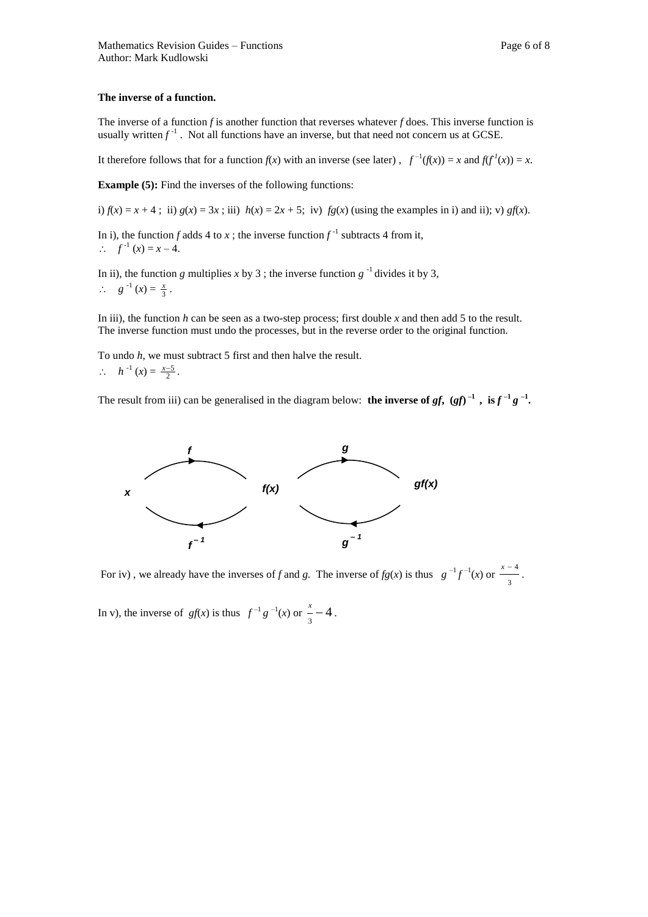#### **The inverse of a function.**

The inverse of a function *f* is another function that reverses whatever *f* does. This inverse function is usually written  $f^{-1}$ . Not all functions have an inverse, but that need not concern us at GCSE.

It therefore follows that for a function  $f(x)$  with an inverse (see later),  $f^{-1}(f(x)) = x$  and  $f(f^{1}(x)) = x$ .

**Example (5):** Find the inverses of the following functions:

i)  $f(x) = x + 4$ ; ii)  $g(x) = 3x$ ; iii)  $h(x) = 2x + 5$ ; iv)  $f(g(x))$  (using the examples in i) and ii); v)  $gf(x)$ .

In i), the function *f* adds 4 to *x*; the inverse function  $f^{-1}$  subtracts 4 from it,  $f^{-1}(x) = x - 4.$ 

In ii), the function *g* multiplies *x* by 3; the inverse function  $g^{-1}$  divides it by 3,  $\therefore$   $g^{-1}(x) = \frac{x}{3}$ .

In iii), the function *h* can be seen as a two-step process; first double *x* and then add 5 to the result. The inverse function must undo the processes, but in the reverse order to the original function.

To undo *h*, we must subtract 5 first and then halve the result.  $\therefore$   $h^{-1}(x) = \frac{x-5}{2}$ .

The result from iii) can be generalised in the diagram below: **the inverse of** *gf*,  $(gf)^{-1}$ , **is**  $f^{-1}g^{-1}$ .



For iv), we already have the inverses of f and g. The inverse of  $fg(x)$  is thus  $g^{-1}f^{-1}(x)$  or  $\frac{x-1}{3}$  $\frac{x-4}{x}$ .

In v), the inverse of  $gf(x)$  is thus  $f^{-1}g^{-1}(x)$  or  $\frac{x}{3} - 4$ .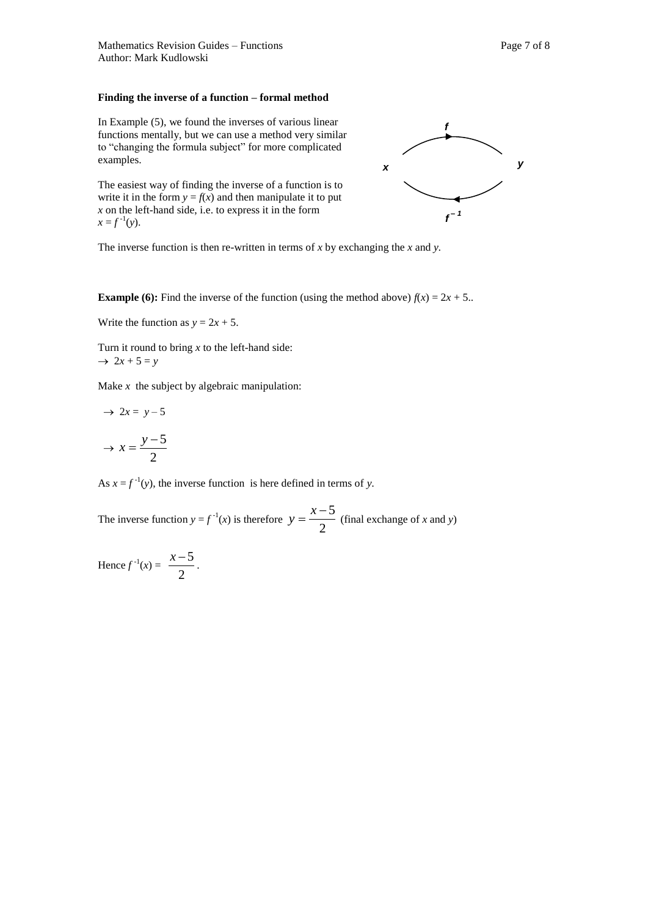#### **Finding the inverse of a function – formal method**

In Example (5), we found the inverses of various linear functions mentally, but we can use a method very similar to "changing the formula subject" for more complicated examples.



The easiest way of finding the inverse of a function is to write it in the form  $y = f(x)$  and then manipulate it to put *x* on the left-hand side, i.e. to express it in the form  $x = f^{-1}(y)$ .

The inverse function is then re-written in terms of *x* by exchanging the *x* and *y.* 

**Example (6):** Find the inverse of the function (using the method above)  $f(x) = 2x + 5$ .

Write the function as  $y = 2x + 5$ .

Turn it round to bring *x* to the left-hand side:  $\rightarrow$  2*x* + 5 = *y* 

Make  $x$  the subject by algebraic manipulation:

$$
\rightarrow 2x = y - 5
$$

$$
\rightarrow x = \frac{y - 5}{2}
$$

As  $x = f^{-1}(y)$ , the inverse function is here defined in terms of *y*.

The inverse function  $y = f^{-1}(x)$  is therefore  $y = \frac{\lambda}{2}$  $y = \frac{x-5}{2}$  (final exchange of *x* and *y*)

Hence  $f^{-1}(x) = \frac{x}{2}$  $\frac{x-5}{2}$ .